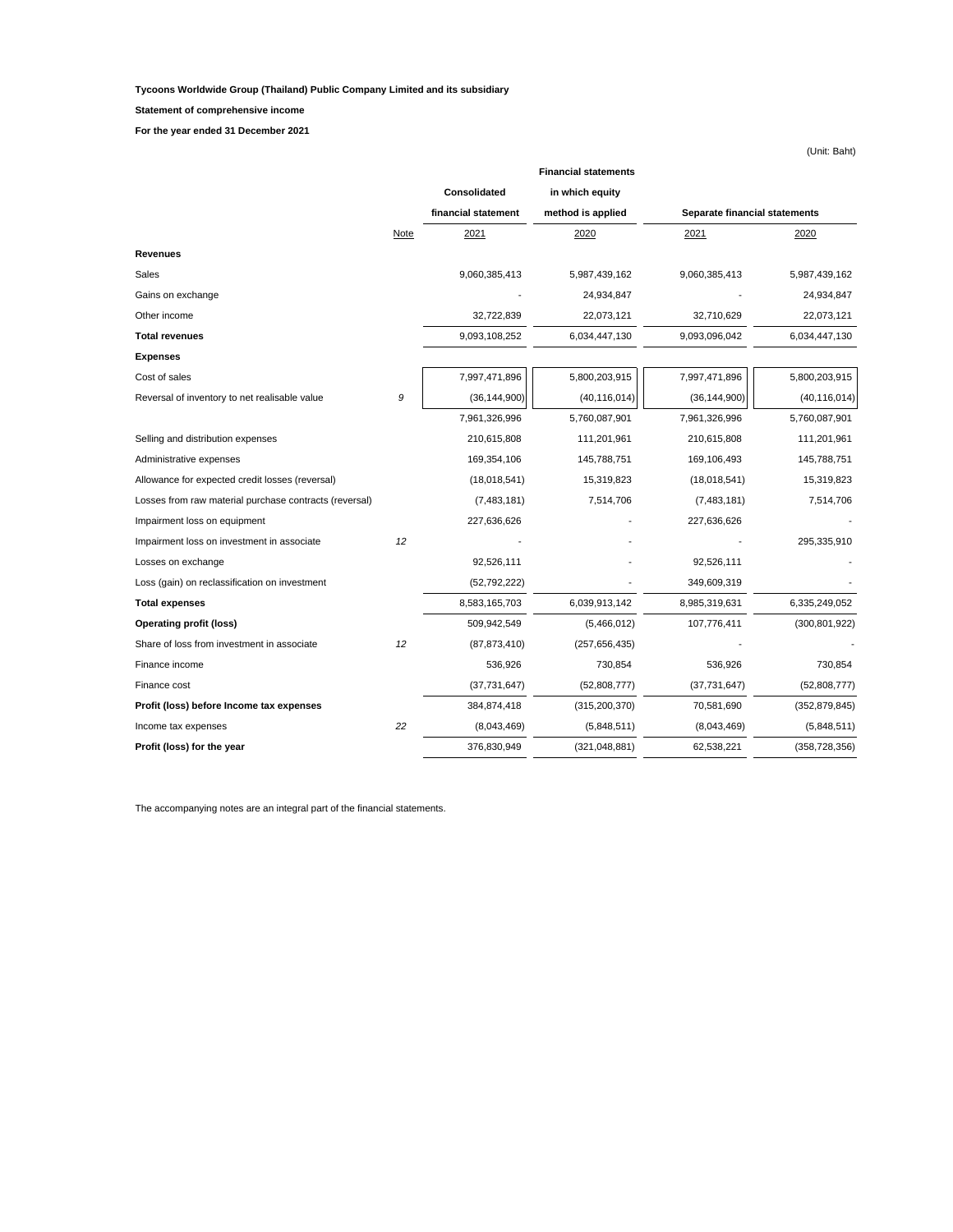**Tycoons Worldwide Group (Thailand) Public Company Limited and its subsidiary**

**Statement of comprehensive income**

**For the year ended 31 December 2021**

|                                                        |             |                     | <b>Financial statements</b> |                               |                 |
|--------------------------------------------------------|-------------|---------------------|-----------------------------|-------------------------------|-----------------|
|                                                        |             | Consolidated        | in which equity             |                               |                 |
|                                                        |             | financial statement | method is applied           | Separate financial statements |                 |
|                                                        | <b>Note</b> | 2021                | 2020                        | 2021                          | 2020            |
| Revenues                                               |             |                     |                             |                               |                 |
| Sales                                                  |             | 9,060,385,413       | 5,987,439,162               | 9,060,385,413                 | 5,987,439,162   |
| Gains on exchange                                      |             |                     | 24,934,847                  |                               | 24,934,847      |
| Other income                                           |             | 32,722,839          | 22,073,121                  | 32,710,629                    | 22,073,121      |
| <b>Total revenues</b>                                  |             | 9,093,108,252       | 6,034,447,130               | 9,093,096,042                 | 6,034,447,130   |
| Expenses                                               |             |                     |                             |                               |                 |
| Cost of sales                                          |             | 7,997,471,896       | 5,800,203,915               | 7,997,471,896                 | 5,800,203,915   |
| Reversal of inventory to net realisable value          | 9           | (36, 144, 900)      | (40, 116, 014)              | (36, 144, 900)                | (40, 116, 014)  |
|                                                        |             | 7,961,326,996       | 5,760,087,901               | 7,961,326,996                 | 5,760,087,901   |
| Selling and distribution expenses                      |             | 210,615,808         | 111,201,961                 | 210,615,808                   | 111,201,961     |
| Administrative expenses                                |             | 169,354,106         | 145,788,751                 | 169,106,493                   | 145,788,751     |
| Allowance for expected credit losses (reversal)        |             | (18,018,541)        | 15,319,823                  | (18,018,541)                  | 15,319,823      |
| Losses from raw material purchase contracts (reversal) |             | (7,483,181)         | 7,514,706                   | (7,483,181)                   | 7,514,706       |
| Impairment loss on equipment                           |             | 227,636,626         |                             | 227,636,626                   |                 |
| Impairment loss on investment in associate             | 12          |                     |                             |                               | 295,335,910     |
| Losses on exchange                                     |             | 92,526,111          |                             | 92,526,111                    |                 |
| Loss (gain) on reclassification on investment          |             | (52, 792, 222)      |                             | 349,609,319                   |                 |
| <b>Total expenses</b>                                  |             | 8,583,165,703       | 6,039,913,142               | 8,985,319,631                 | 6,335,249,052   |
| <b>Operating profit (loss)</b>                         |             | 509,942,549         | (5,466,012)                 | 107,776,411                   | (300, 801, 922) |
| Share of loss from investment in associate             | 12          | (87, 873, 410)      | (257, 656, 435)             |                               |                 |
| Finance income                                         |             | 536,926             | 730,854                     | 536,926                       | 730,854         |
| Finance cost                                           |             | (37,731,647)        | (52,808,777)                | (37,731,647)                  | (52,808,777)    |
| Profit (loss) before Income tax expenses               |             | 384,874,418         | (315, 200, 370)             | 70,581,690                    | (352, 879, 845) |
| Income tax expenses                                    | 22          | (8,043,469)         | (5,848,511)                 | (8,043,469)                   | (5,848,511)     |
| Profit (loss) for the year                             |             | 376,830,949         | (321, 048, 881)             | 62,538,221                    | (358, 728, 356) |

The accompanying notes are an integral part of the financial statements.

(Unit: Baht)